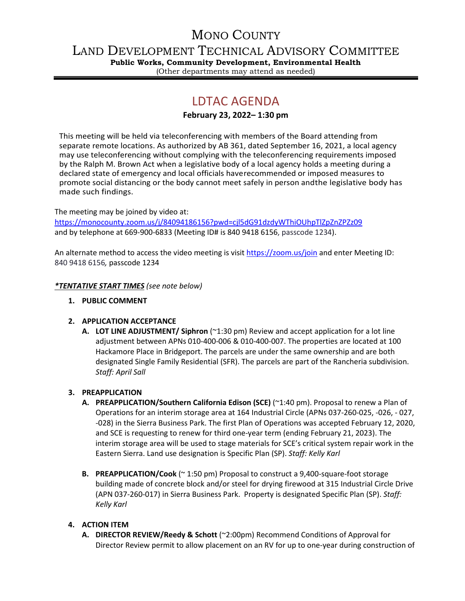## MONO COUNTY

LAND DEVELOPMENT TECHNICAL ADVISORY COMMITTEE

**Public Works, Community Development, Environmental Health** (Other departments may attend as needed)

# LDTAC AGENDA

## **February 23, 2022– 1:30 pm**

This meeting will be held via teleconferencing with members of the Board attending from separate remote locations. As authorized by AB 361, dated September 16, 2021, a local agency may use teleconferencing without complying with the teleconferencing requirements imposed by the Ralph M. Brown Act when a legislative body of a local agency holds a meeting during a declared state of emergency and local officials haverecommended or imposed measures to promote social distancing or the body cannot meet safely in person andthe legislative body has made such findings.

The meeting may be joined by video at:

<https://monocounty.zoom.us/j/84094186156?pwd=cjl5dG91dzdyWThiOUhpTlZpZnZPZz09> and by telephone at 669-900-6833 (Meeting ID# is 840 9418 6156, passcode 1234).

An alternate method to access the video meeting is visit <https://zoom.us/join> and enter Meeting ID: 840 9418 6156*,* passcode 1234

*\*TENTATIVE START TIMES (see note below)*

**1. PUBLIC COMMENT**

## **2. APPLICATION ACCEPTANCE**

**A. LOT LINE ADJUSTMENT/ Siphron** (~1:30 pm) Review and accept application for a lot line adjustment between APNs 010-400-006 & 010-400-007. The properties are located at 100 Hackamore Place in Bridgeport. The parcels are under the same ownership and are both designated Single Family Residential (SFR). The parcels are part of the Rancheria subdivision. *Staff: April Sall*

## **3. PREAPPLICATION**

- **A. PREAPPLICATION/Southern California Edison (SCE)** (~1:40 pm). Proposal to renew a Plan of Operations for an interim storage area at 164 Industrial Circle (APNs 037-260-025, -026, - 027, -028) in the Sierra Business Park. The first Plan of Operations was accepted February 12, 2020, and SCE is requesting to renew for third one-year term (ending February 21, 2023). The interim storage area will be used to stage materials for SCE's critical system repair work in the Eastern Sierra. Land use designation is Specific Plan (SP). *Staff: Kelly Karl*
- **B. PREAPPLICATION/Cook** (~ 1:50 pm) Proposal to construct a 9,400-square-foot storage building made of concrete block and/or steel for drying firewood at 315 Industrial Circle Drive (APN 037-260-017) in Sierra Business Park. Property is designated Specific Plan (SP). *Staff: Kelly Karl*

## **4. ACTION ITEM**

**A. DIRECTOR REVIEW/Reedy & Schott** (~2:00pm) Recommend Conditions of Approval for Director Review permit to allow placement on an RV for up to one-year during construction of